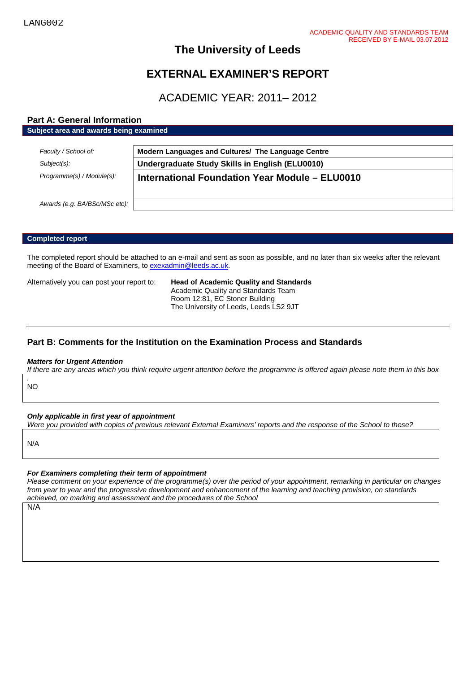## **The University of Leeds**

# **EXTERNAL EXAMINER'S REPORT**

# ACADEMIC YEAR: 2011– 2012

## **Part A: General Information**

| Faculty / School of:          | Modern Languages and Cultures/ The Language Centre |
|-------------------------------|----------------------------------------------------|
|                               |                                                    |
| Subject(s):                   | Undergraduate Study Skills in English (ELU0010)    |
| Programme(s) / Module(s):     | International Foundation Year Module - ELU0010     |
|                               |                                                    |
| Awards (e.g. BA/BSc/MSc etc): |                                                    |

#### **Completed report**

The completed report should be attached to an e-mail and sent as soon as possible, and no later than six weeks after the relevant meeting of the Board of Examiners, t[o exexadmin@leeds.ac.uk.](mailto:exexadmin@leeds.ac.uk)

Alternatively you can post your report to: **Head of Academic Quality and Standards** Academic Quality and Standards Team Room 12:81, EC Stoner Building The University of Leeds, Leeds LS2 9JT

## **Part B: Comments for the Institution on the Examination Process and Standards**

#### *Matters for Urgent Attention*

*If there are any areas which you think require urgent attention before the programme is offered again please note them in this box*

*.* NO

#### *Only applicable in first year of appointment*

*Were you provided with copies of previous relevant External Examiners' reports and the response of the School to these?* 

N/A

#### *For Examiners completing their term of appointment*

*Please comment on your experience of the programme(s) over the period of your appointment, remarking in particular on changes from year to year and the progressive development and enhancement of the learning and teaching provision, on standards achieved, on marking and assessment and the procedures of the School*

N/A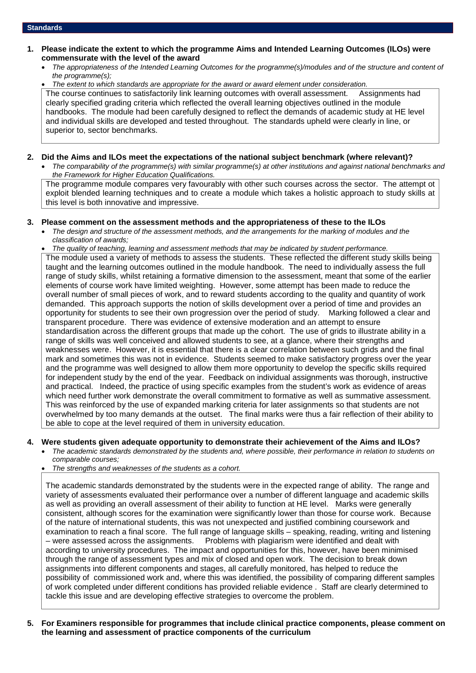#### **1. Please indicate the extent to which the programme Aims and Intended Learning Outcomes (ILOs) were commensurate with the level of the award**

• *The appropriateness of the Intended Learning Outcomes for the programme(s)/modules and of the structure and content of the programme(s);*

• *The extent to which standards are appropriate for the award or award element under consideration.*

The course continues to satisfactorily link learning outcomes with overall assessment. Assignments had clearly specified grading criteria which reflected the overall learning objectives outlined in the module handbooks. The module had been carefully designed to reflect the demands of academic study at HE level and individual skills are developed and tested throughout. The standards upheld were clearly in line, or superior to, sector benchmarks.

#### **2. Did the Aims and ILOs meet the expectations of the national subject benchmark (where relevant)?**

• *The comparability of the programme(s) with similar programme(s) at other institutions and against national benchmarks and the Framework for Higher Education Qualifications.*

The programme module compares very favourably with other such courses across the sector. The attempt ot exploit blended learning techniques and to create a module which takes a holistic approach to study skills at this level is both innovative and impressive.

#### **3. Please comment on the assessment methods and the appropriateness of these to the ILOs**

- *The design and structure of the assessment methods, and the arrangements for the marking of modules and the classification of awards;*
- *The quality of teaching, learning and assessment methods that may be indicated by student performance.*

The module used a variety of methods to assess the students. These reflected the different study skills being taught and the learning outcomes outlined in the module handbook. The need to individually assess the full range of study skills, whilst retaining a formative dimension to the assessment, meant that some of the earlier elements of course work have limited weighting. However, some attempt has been made to reduce the overall number of small pieces of work, and to reward students according to the quality and quantity of work demanded. This approach supports the notion of skills development over a period of time and provides an opportunity for students to see their own progression over the period of study. Marking followed a clear and transparent procedure. There was evidence of extensive moderation and an attempt to ensure standardisation across the different groups that made up the cohort. The use of grids to illustrate ability in a range of skills was well conceived and allowed students to see, at a glance, where their strengths and weaknesses were. However, it is essential that there is a clear correlation between such grids and the final mark and sometimes this was not in evidence. Students seemed to make satisfactory progress over the year and the programme was well designed to allow them more opportunity to develop the specific skills required for independent study by the end of the year. Feedback on individual assignments was thorough, instructive and practical. Indeed, the practice of using specific examples from the student's work as evidence of areas which need further work demonstrate the overall commitment to formative as well as summative assessment. This was reinforced by the use of expanded marking criteria for later assignments so that students are not overwhelmed by too many demands at the outset. The final marks were thus a fair reflection of their ability to be able to cope at the level required of them in university education.

#### **4. Were students given adequate opportunity to demonstrate their achievement of the Aims and ILOs?**

- *The academic standards demonstrated by the students and, where possible, their performance in relation to students on comparable courses;*
- *The strengths and weaknesses of the students as a cohort.*

The academic standards demonstrated by the students were in the expected range of ability. The range and variety of assessments evaluated their performance over a number of different language and academic skills as well as providing an overall assessment of their ability to function at HE level. Marks were generally consistent, although scores for the examination were significantly lower than those for course work. Because of the nature of international students, this was not unexpected and justified combining coursework and examination to reach a final score. The full range of language skills – speaking, reading, writing and listening – were assessed across the assignments. Problems with plagiarism were identified and dealt with according to university procedures. The impact and opportunities for this, however, have been minimised through the range of assessment types and mix of closed and open work. The decision to break down assignments into different components and stages, all carefully monitored, has helped to reduce the possibility of commissioned work and, where this was identified, the possibility of comparing different samples of work completed under different conditions has provided reliable evidence . Staff are clearly determined to tackle this issue and are developing effective strategies to overcome the problem.

**5. For Examiners responsible for programmes that include clinical practice components, please comment on the learning and assessment of practice components of the curriculum**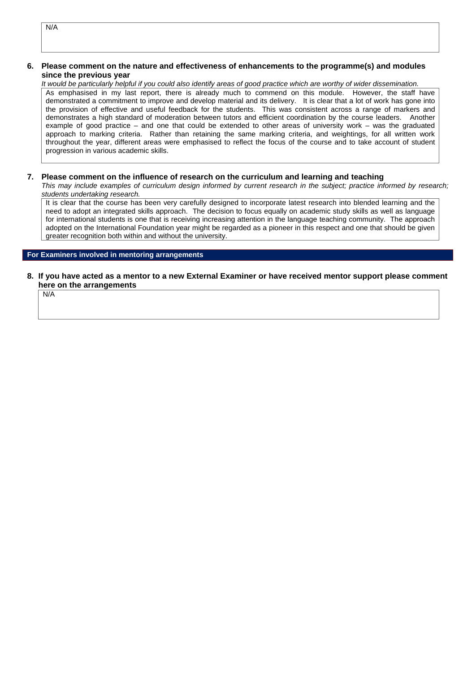N/A

#### **6. Please comment on the nature and effectiveness of enhancements to the programme(s) and modules since the previous year**

*It would be particularly helpful if you could also identify areas of good practice which are worthy of wider dissemination.* 

As emphasised in my last report, there is already much to commend on this module. However, the staff have demonstrated a commitment to improve and develop material and its delivery. It is clear that a lot of work has gone into the provision of effective and useful feedback for the students. This was consistent across a range of markers and demonstrates a high standard of moderation between tutors and efficient coordination by the course leaders. Another example of good practice – and one that could be extended to other areas of university work – was the graduated approach to marking criteria. Rather than retaining the same marking criteria, and weightings, for all written work throughout the year, different areas were emphasised to reflect the focus of the course and to take account of student progression in various academic skills.

#### **7. Please comment on the influence of research on the curriculum and learning and teaching**

*This may include examples of curriculum design informed by current research in the subject; practice informed by research; students undertaking research.* 

It is clear that the course has been very carefully designed to incorporate latest research into blended learning and the need to adopt an integrated skills approach. The decision to focus equally on academic study skills as well as language for international students is one that is receiving increasing attention in the language teaching community. The approach adopted on the International Foundation year might be regarded as a pioneer in this respect and one that should be given greater recognition both within and without the university.

#### **For Examiners involved in mentoring arrangements**

**8. If you have acted as a mentor to a new External Examiner or have received mentor support please comment here on the arrangements**

N/A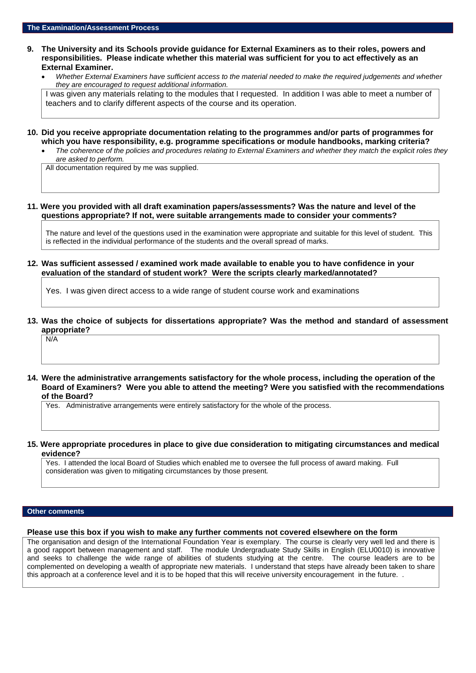- **9. The University and its Schools provide guidance for External Examiners as to their roles, powers and responsibilities. Please indicate whether this material was sufficient for you to act effectively as an External Examiner.**
	- *Whether External Examiners have sufficient access to the material needed to make the required judgements and whether they are encouraged to request additional information.*

I was given any materials relating to the modules that I requested. In addition I was able to meet a number of teachers and to clarify different aspects of the course and its operation.

- **10. Did you receive appropriate documentation relating to the programmes and/or parts of programmes for which you have responsibility, e.g. programme specifications or module handbooks, marking criteria?**
	- *The coherence of the policies and procedures relating to External Examiners and whether they match the explicit roles they are asked to perform.*

All documentation required by me was supplied.

#### **11. Were you provided with all draft examination papers/assessments? Was the nature and level of the questions appropriate? If not, were suitable arrangements made to consider your comments?**

The nature and level of the questions used in the examination were appropriate and suitable for this level of student. This is reflected in the individual performance of the students and the overall spread of marks.

**12. Was sufficient assessed / examined work made available to enable you to have confidence in your evaluation of the standard of student work? Were the scripts clearly marked/annotated?** 

Yes. I was given direct access to a wide range of student course work and examinations

**13. Was the choice of subjects for dissertations appropriate? Was the method and standard of assessment appropriate?**

N/A

**14. Were the administrative arrangements satisfactory for the whole process, including the operation of the Board of Examiners? Were you able to attend the meeting? Were you satisfied with the recommendations of the Board?**

Yes. Administrative arrangements were entirely satisfactory for the whole of the process.

**15. Were appropriate procedures in place to give due consideration to mitigating circumstances and medical evidence?**

Yes. I attended the local Board of Studies which enabled me to oversee the full process of award making. Full consideration was given to mitigating circumstances by those present*.*

#### **Other comments**

**Please use this box if you wish to make any further comments not covered elsewhere on the form**

The organisation and design of the International Foundation Year is exemplary. The course is clearly very well led and there is a good rapport between management and staff. The module Undergraduate Study Skills in English (ELU0010) is innovative and seeks to challenge the wide range of abilities of students studying at the centre. The course leaders are to be complemented on developing a wealth of appropriate new materials. I understand that steps have already been taken to share this approach at a conference level and it is to be hoped that this will receive university encouragement in the future. .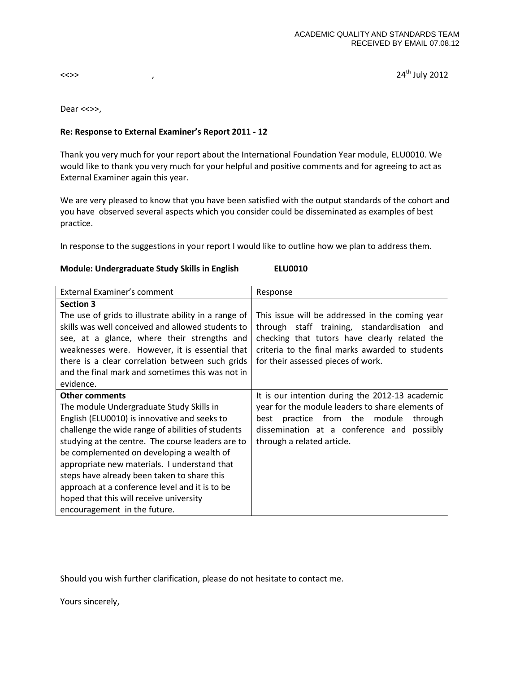$\langle \langle \rangle$  ,  $\langle \rangle$ 

Dear <<>>,

### **Re: Response to External Examiner's Report 2011 - 12**

Thank you very much for your report about the International Foundation Year module, ELU0010. We would like to thank you very much for your helpful and positive comments and for agreeing to act as External Examiner again this year.

We are very pleased to know that you have been satisfied with the output standards of the cohort and you have observed several aspects which you consider could be disseminated as examples of best practice.

In response to the suggestions in your report I would like to outline how we plan to address them.

#### **Module: Undergraduate Study Skills in English ELU0010**

| External Examiner's comment                          | Response                                         |
|------------------------------------------------------|--------------------------------------------------|
| <b>Section 3</b>                                     |                                                  |
| The use of grids to illustrate ability in a range of | This issue will be addressed in the coming year  |
| skills was well conceived and allowed students to    | through staff training, standardisation and      |
| see, at a glance, where their strengths and          | checking that tutors have clearly related the    |
| weaknesses were. However, it is essential that       | criteria to the final marks awarded to students  |
| there is a clear correlation between such grids      | for their assessed pieces of work.               |
| and the final mark and sometimes this was not in     |                                                  |
| evidence.                                            |                                                  |
| <b>Other comments</b>                                | It is our intention during the 2012-13 academic  |
| The module Undergraduate Study Skills in             | year for the module leaders to share elements of |
| English (ELU0010) is innovative and seeks to         | best practice from the module<br>through         |
| challenge the wide range of abilities of students    | dissemination at a conference and possibly       |
| studying at the centre. The course leaders are to    | through a related article.                       |
| be complemented on developing a wealth of            |                                                  |
| appropriate new materials. I understand that         |                                                  |
| steps have already been taken to share this          |                                                  |
| approach at a conference level and it is to be       |                                                  |
| hoped that this will receive university              |                                                  |
| encouragement in the future.                         |                                                  |

Should you wish further clarification, please do not hesitate to contact me.

Yours sincerely,